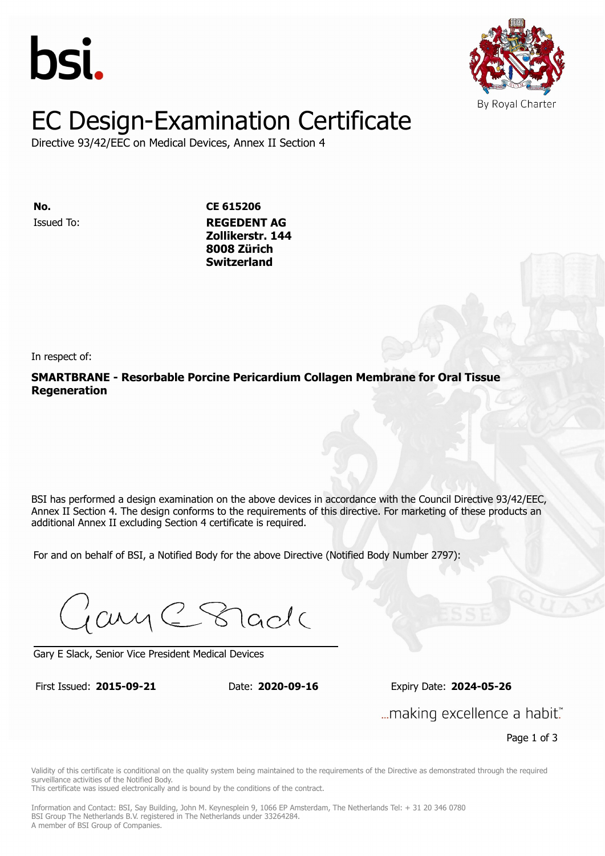



# EC Design-Examination Certificate

Directive 93/42/EEC on Medical Devices, Annex II Section 4

Issued To: **REGEDENT AG No. CE 615206 Zollikerstr. 144** Issued To: **REGEDENT AG Switzerland Zollikerstr. 144 8008 Zürich Switzerland**

In respect of:

**SMARTBRANE - Resorbable Porcine Pericardium Collagen Membrane for Oral Tissue Regeneration**

BSI has performed a design examination on the above devices in accordance with the Council Directive 93/42/EEC. Annex II Section 4. The design conforms to the requirements of this directive. For marketing of these products an additional Annex II excluding Section 4 certificate is required.

For and on behalf of BSI, a Notified Body for the above Directive (Notified Body Number 2797):

Gary C Stade

Gary E Slack, Senior Vice President Medical Devices

First Issued: **2015-09-21** Date: **2020-09-16** Expiry Date: **2024-05-26** First Issued: **2015-09-21** Date: **2020-09-16** Expiry Date: **2024-05-26**

... making excellence a habit."

Page 1 of 3

Validity of this certificate is conditional on the quality system being maintained to the requirements of the Directive as demonstrated through the required surveillance activities of the Notified Body.

This certificate was issued electronically and is bound by the conditions of the contract.

Information and Contact: BSI, Say Building, John M. Keynesplein 9, 1066 EP Amsterdam, The Netherlands Tel: + 31 20 346 0780 BSI Group The Netherlands B.V. registered in The Netherlands under 33264284. A member of BSI Group of Companies.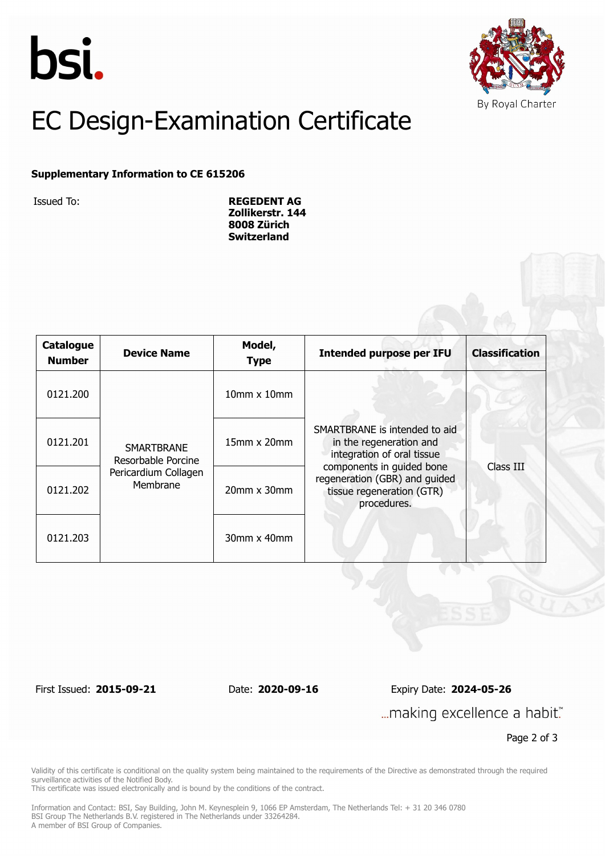



## EC Design-Examination Certificate

#### **Supplementary Information to CE 615206**

Issued To: **REGEDENT AG Zollikerstr. 144 8008 Zürich Switzerland**

| Catalogue<br><b>Number</b> | <b>Device Name</b>                                                          | Model,<br><b>Type</b>    | <b>Intended purpose per IFU</b>                                                                                                                                                                  | <b>Classification</b> |
|----------------------------|-----------------------------------------------------------------------------|--------------------------|--------------------------------------------------------------------------------------------------------------------------------------------------------------------------------------------------|-----------------------|
| 0121.200                   | <b>SMARTBRANE</b><br>Resorbable Porcine<br>Pericardium Collagen<br>Membrane | $10$ mm $\times$ $10$ mm | SMARTBRANE is intended to aid<br>in the regeneration and<br>integration of oral tissue<br>components in guided bone<br>regeneration (GBR) and guided<br>tissue regeneration (GTR)<br>procedures. |                       |
| 0121.201                   |                                                                             | $15$ mm x $20$ mm        |                                                                                                                                                                                                  |                       |
| 0121.202                   |                                                                             | $20$ mm $x$ 30mm         |                                                                                                                                                                                                  | Class III             |
| 0121.203                   |                                                                             | $30$ mm x $40$ mm        |                                                                                                                                                                                                  |                       |

First Issued: **2015-09-21** Date: **2020-09-16** Expiry Date: **2024-05-26** ... making excellence a habit."

Page 2 of 3

Validity of this certificate is conditional on the quality system being maintained to the requirements of the Directive as demonstrated through the required surveillance activities of the Notified Body.

This certificate was issued electronically and is bound by the conditions of the contract.

Information and Contact: BSI, Say Building, John M. Keynesplein 9, 1066 EP Amsterdam, The Netherlands Tel: + 31 20 346 0780 BSI Group The Netherlands B.V. registered in The Netherlands under 33264284. A member of BSI Group of Companies.